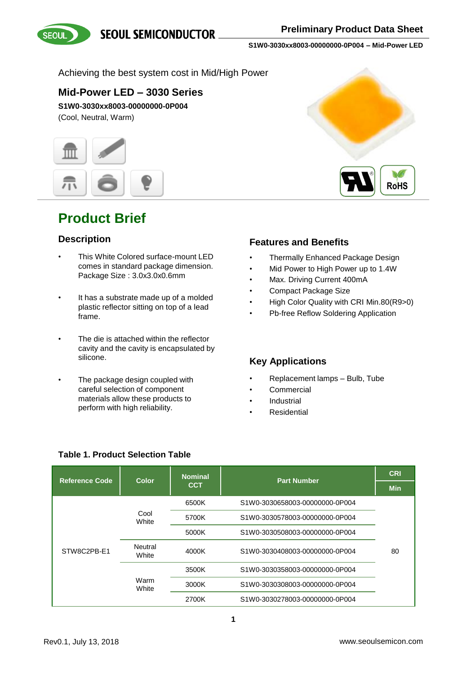**SEOUL SEMICONDUCTOR** 



**S1W0-3030xx8003-00000000-0P004 – Mid-Power LED**

### Achieving the best system cost in Mid/High Power

### **Mid-Power LED – 3030 Series**

**S1W0-3030xx8003-00000000-0P004** (Cool, Neutral, Warm)



### **Product Brief**

### **Description**

- This White Colored surface-mount LED comes in standard package dimension. Package Size : 3.0x3.0x0.6mm
- It has a substrate made up of a molded plastic reflector sitting on top of a lead frame.
- The die is attached within the reflector cavity and the cavity is encapsulated by silicone.
- The package design coupled with careful selection of component materials allow these products to perform with high reliability.



### **Features and Benefits**

- Thermally Enhanced Package Design
- Mid Power to High Power up to 1.4W
- Max. Driving Current 400mA
- Compact Package Size
- High Color Quality with CRI Min.80(R9>0)
- Pb-free Reflow Soldering Application

### **Key Applications**

- Replacement lamps Bulb, Tube
- **Commercial**
- **Industrial**
- **Residential**

| <b>Reference Code</b> | Color            | <b>Nominal</b> | <b>Part Number</b>             | <b>CRI</b> |
|-----------------------|------------------|----------------|--------------------------------|------------|
|                       |                  | <b>CCT</b>     |                                | <b>Min</b> |
|                       |                  | 6500K          | S1W0-3030658003-00000000-0P004 |            |
| STW8C2PB-E1           | Cool<br>White    | 5700K          | S1W0-3030578003-00000000-0P004 |            |
|                       |                  | 5000K          | S1W0-3030508003-00000000-0P004 |            |
|                       | Neutral<br>White | 4000K          | S1W0-3030408003-00000000-0P004 | 80         |
|                       | Warm<br>White    | 3500K          | S1W0-3030358003-00000000-0P004 |            |
|                       |                  | 3000K          | S1W0-3030308003-00000000-0P004 |            |
|                       |                  | 2700K          | S1W0-3030278003-00000000-0P004 |            |

### **Table 1. Product Selection Table**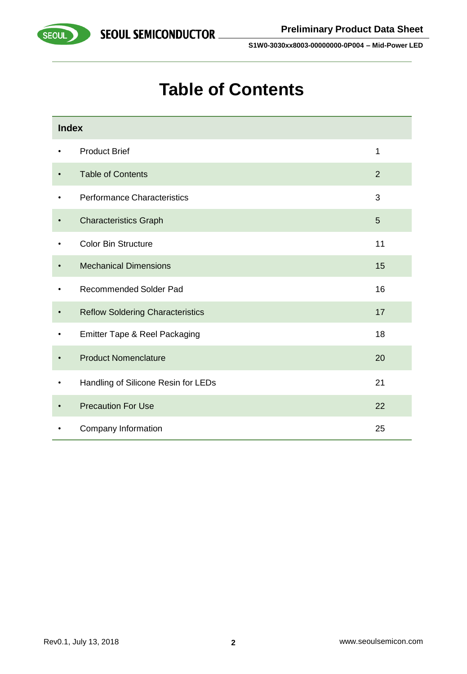

# **Table of Contents**

| <b>Index</b> |                                         |                |
|--------------|-----------------------------------------|----------------|
| ٠            | <b>Product Brief</b>                    | 1              |
|              | <b>Table of Contents</b>                | $\overline{2}$ |
| ٠            | Performance Characteristics             | 3              |
|              | <b>Characteristics Graph</b>            | 5              |
| ٠            | <b>Color Bin Structure</b>              | 11             |
|              | <b>Mechanical Dimensions</b>            | 15             |
|              | <b>Recommended Solder Pad</b>           | 16             |
| $\bullet$    | <b>Reflow Soldering Characteristics</b> | 17             |
| $\bullet$    | Emitter Tape & Reel Packaging           | 18             |
|              | <b>Product Nomenclature</b>             | 20             |
|              | Handling of Silicone Resin for LEDs     | 21             |
|              | <b>Precaution For Use</b>               | 22             |
|              | Company Information                     | 25             |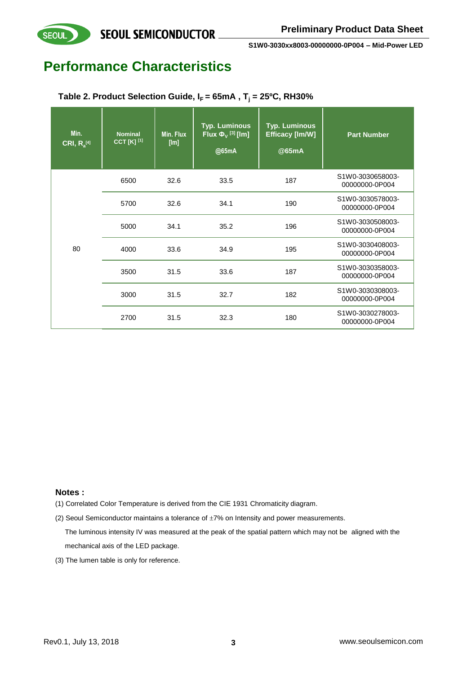

### **Performance Characteristics**

**SEOUL** 

| Min.<br>$CRI, R_a^{[4]}$ | <b>Nominal</b><br>CCT [K] [1] | Min. Flux<br>[Im] | <b>Typ. Luminous</b><br>Flux $\Phi_{V}$ <sup>[3]</sup> [lm]<br>@65mA | <b>Typ. Luminous</b><br>Efficacy [Im/W]<br>@65mA | <b>Part Number</b>                 |
|--------------------------|-------------------------------|-------------------|----------------------------------------------------------------------|--------------------------------------------------|------------------------------------|
|                          | 6500                          | 32.6              | 33.5                                                                 | 187                                              | S1W0-3030658003-<br>00000000-0P004 |
|                          | 5700                          | 32.6              | 34.1                                                                 | 190                                              | S1W0-3030578003-<br>00000000-0P004 |
|                          | 5000                          | 34.1              | 35.2                                                                 | 196                                              | S1W0-3030508003-<br>00000000-0P004 |
| 80                       | 4000                          | 33.6              | 34.9                                                                 | 195                                              | S1W0-3030408003-<br>00000000-0P004 |
|                          | 3500                          | 31.5              | 33.6                                                                 | 187                                              | S1W0-3030358003-<br>00000000-0P004 |
|                          | 3000                          | 31.5              | 32.7                                                                 | 182                                              | S1W0-3030308003-<br>00000000-0P004 |
|                          | 2700                          | 31.5              | 32.3                                                                 | 180                                              | S1W0-3030278003-<br>00000000-0P004 |

**Table 2. Product Selection Guide,**  $I_F = 65mA$ **,**  $T_i = 25°C$ **, RH30%** 

#### **Notes :**

(1) Correlated Color Temperature is derived from the CIE 1931 Chromaticity diagram.

(2) Seoul Semiconductor maintains a tolerance of  $\pm 7\%$  on Intensity and power measurements. The luminous intensity IV was measured at the peak of the spatial pattern which may not be aligned with the mechanical axis of the LED package.

(3) The lumen table is only for reference.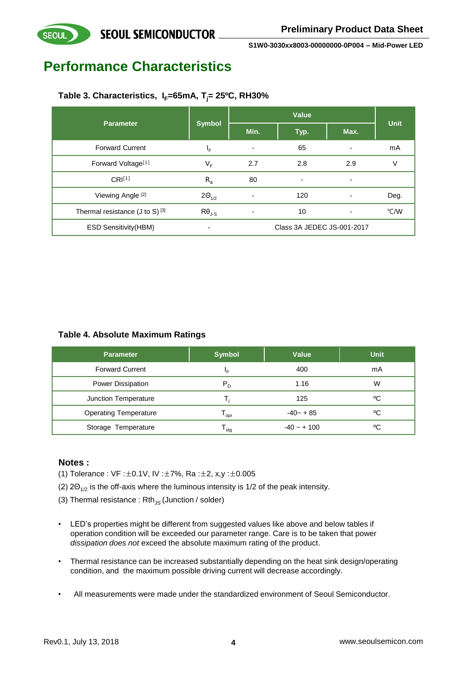# **Performance Characteristics**

**SEOUL** 

### **Table 3. Characteristics, IF=65mA, Tj= 25ºC, RH30%**

| <b>Parameter</b>                             | <b>Symbol</b>   | Value                      |                |      | <b>Unit</b> |
|----------------------------------------------|-----------------|----------------------------|----------------|------|-------------|
|                                              |                 | Min.                       | Typ.           | Max. |             |
| <b>Forward Current</b>                       | ΙF              | ۰                          | 65             | ٠    | mA          |
| Forward Voltage <sup>[1]</sup>               | $V_F$           | 2.7                        | 2.8            | 2.9  | ٧           |
| CRI <sup>[1]</sup>                           | $R_a$           | 80                         | $\blacksquare$ | ۰    |             |
| Viewing Angle [2]                            | $2\Theta_{1/2}$ | ۰                          | 120            | ۰    | Deg.        |
| Thermal resistance $(J \text{ to } S)^{[3]}$ | $R\theta_{J-S}$ | ٠                          | 10             | ٠    | °C/W        |
| <b>ESD Sensitivity (HBM)</b>                 | -               | Class 3A JEDEC JS-001-2017 |                |      |             |

### **Table 4. Absolute Maximum Ratings**

| <b>Parameter</b>             | <b>Symbol</b> | <b>Value</b>  | <b>Unit</b> |
|------------------------------|---------------|---------------|-------------|
| <b>Forward Current</b>       | ΙF            | 400           | mA          |
| <b>Power Dissipation</b>     | $P_{D}$       | 1.16          | W           |
| Junction Temperature         |               | 125           | ٥C          |
| <b>Operating Temperature</b> | opr           | $-40 - +85$   | ٥C          |
| Storage Temperature          | stq           | $-40 - + 100$ | ٥C          |

#### **Notes :**

- (1) Tolerance : VF :±0.1V, IV :±7%, Ra :±2, x,y :±0.005
- (2) 2 $\Theta_{1/2}$  is the off-axis where the luminous intensity is 1/2 of the peak intensity.
- (3) Thermal resistance :  $Rth_{JS}$  (Junction / solder)
- LED's properties might be different from suggested values like above and below tables if operation condition will be exceeded our parameter range. Care is to be taken that power *dissipation does not* exceed the absolute maximum rating of the product.
- Thermal resistance can be increased substantially depending on the heat sink design/operating condition, and the maximum possible driving current will decrease accordingly.
- All measurements were made under the standardized environment of Seoul Semiconductor.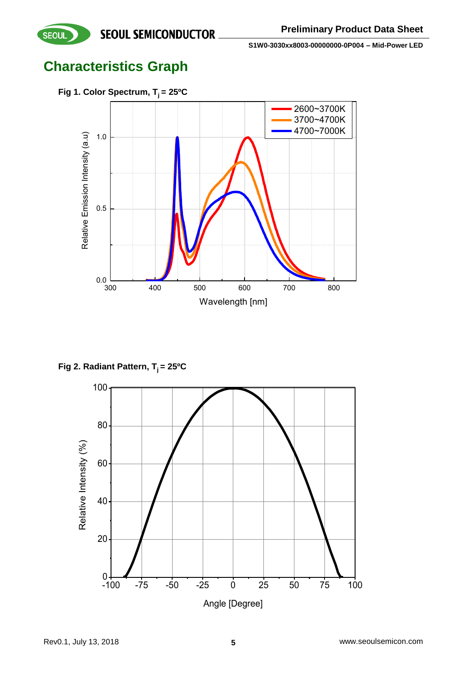**Characteristics Graph**



**Fig 2. Radiant Pattern, T<sup>j</sup> = 25ºC**

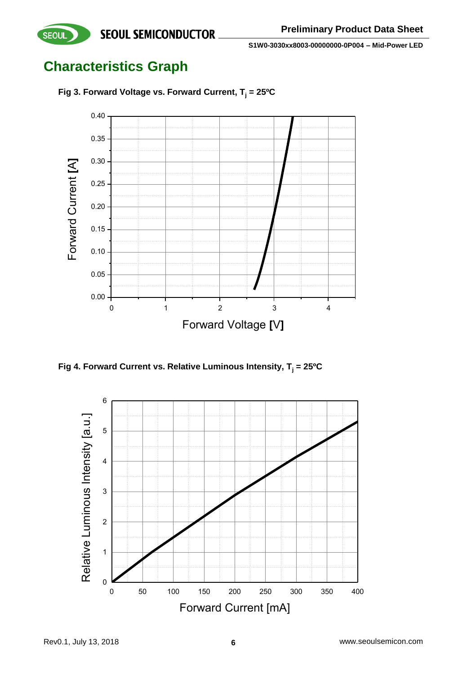**Characteristics Graph**

**SEOUL** 



**Fig 3. Forward Voltage vs. Forward Current, T<sup>j</sup> = 25ºC**

**Fig 4. Forward Current vs. Relative Luminous Intensity, T<sup>j</sup> = 25ºC**

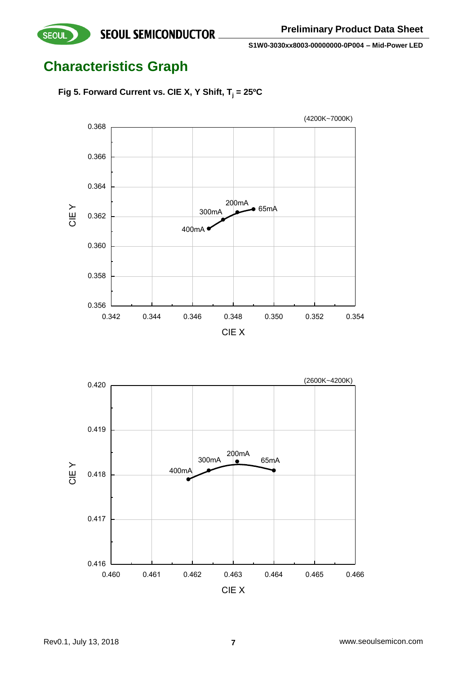# **Characteristics Graph**





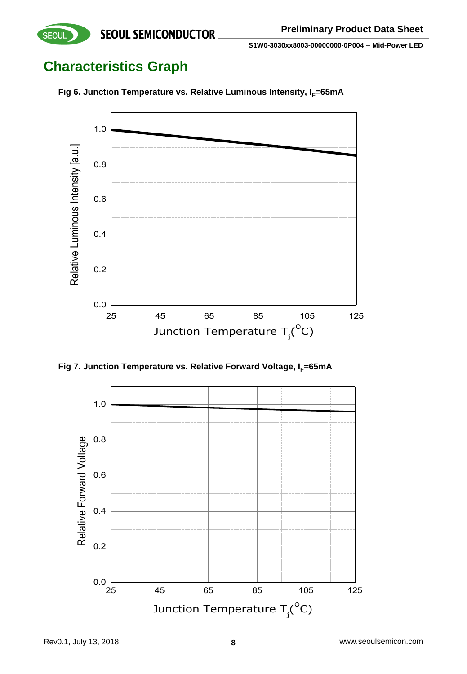# **Characteristics Graph**



**Fig 6. Junction Temperature vs. Relative Luminous Intensity, I<sub>F</sub>=65mA** 



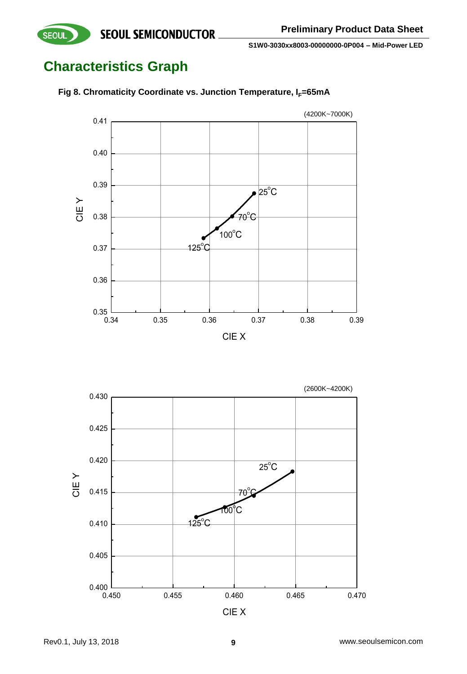# **Characteristics Graph**

SEOUL



**Fig 8. Chromaticity Coordinate vs. Junction Temperature, I<sub>F</sub>=65mA** 

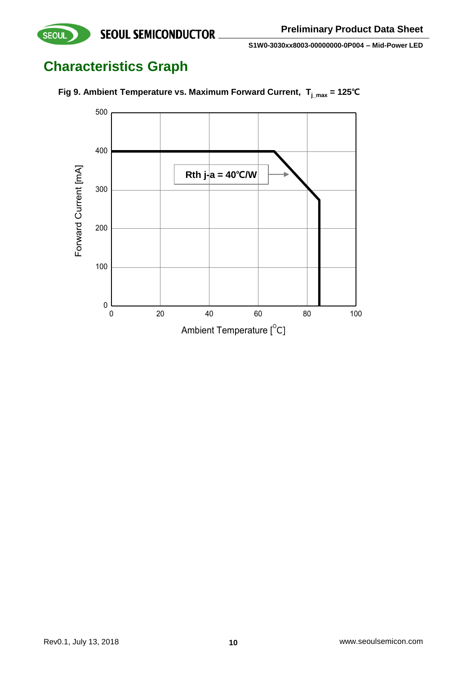# **Characteristics Graph**



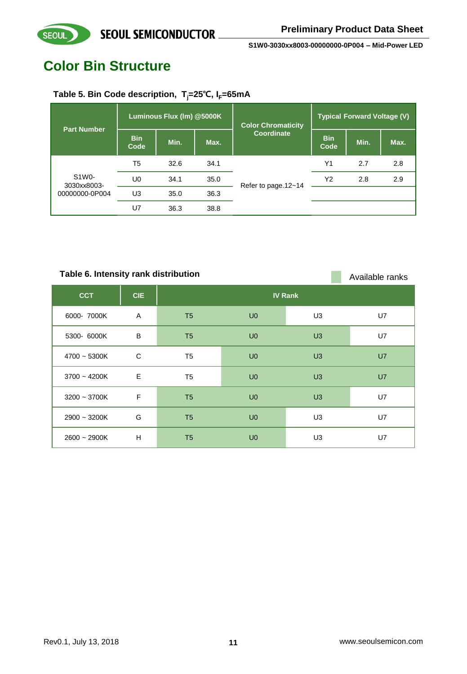# **Color Bin Structure**

**SEOUL** 

### **Table 5. Bin Code description, Tj=25**℃**, IF=65mA**

| <b>Part Number</b>   | Luminous Flux (Im) @5000K |      |      | <b>Color Chromaticity</b> | <b>Typical Forward Voltage (V)</b> |      |      |
|----------------------|---------------------------|------|------|---------------------------|------------------------------------|------|------|
|                      | <b>Bin</b><br>Code        | Min. | Max. | Coordinate                | <b>Bin</b><br>Code                 | Min. | Max. |
|                      | T <sub>5</sub>            | 32.6 | 34.1 |                           | Y1                                 | 2.7  | 2.8  |
| S1W0-<br>3030xx8003- | U <sub>0</sub>            | 34.1 | 35.0 | Refer to page.12~14       | Y2                                 | 2.8  | 2.9  |
| 00000000-0P004       | U3                        | 35.0 | 36.3 |                           |                                    |      |      |
|                      | U7                        | 36.3 | 38.8 |                           |                                    |      |      |

**CCT CIE IV Rank** 6000- 7000K A T5 U0 U3 U7 5300- 6000K B T5 U0 U3 U7 4700 ~ 5300K C T5 U0 U3 U7 3700 ~ 4200K E T5 U0 U3 U7 3200 ~ 3700K F T5 U0 U3 U7 2900 ~ 3200K G T5 U0 U3 U7 2600 ~ 2900K H T5 U0 U3 U7 **Table 6. Intensity rank distribution Available ranks** Available ranks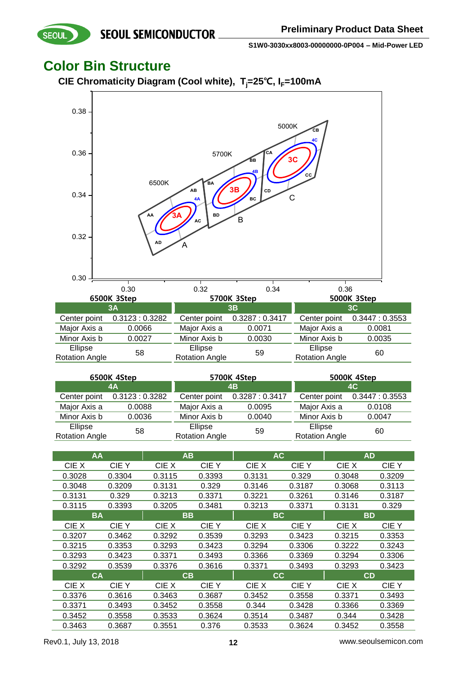### **Color Bin Structure**

**SEOUL** 

**CIE Chromaticity Diagram (Cool white), Tj=25**℃**, IF=100mA**



| 6500K 4Step           |               |                       | 5700K 4Step                  | 5000K 4Step           |               |  |
|-----------------------|---------------|-----------------------|------------------------------|-----------------------|---------------|--|
| 4Α                    |               | 4B                    |                              | 4C                    |               |  |
| Center point          | 0.3123:0.3282 |                       | Center point 0.3287 : 0.3417 | Center point          | 0.3447:0.3553 |  |
| Major Axis a          | 0.0088        | Major Axis a          | 0.0095                       | Major Axis a          | 0.0108        |  |
| Minor Axis b          | 0.0036        | Minor Axis b          | 0.0040                       | Minor Axis b          | 0.0047        |  |
| Ellipse               | 58            | Ellipse               | 59                           | Ellipse               | 60            |  |
| <b>Rotation Angle</b> |               | <b>Rotation Angle</b> |                              | <b>Rotation Angle</b> |               |  |

|        | AA        |        | AB     |        | <b>AC</b> |           | <b>AD</b> |
|--------|-----------|--------|--------|--------|-----------|-----------|-----------|
| CIE X  | CIE Y     | CIE X  | CIE Y  | CIE X  | CIE Y     | CIE X     | CIE Y     |
| 0.3028 | 0.3304    | 0.3115 | 0.3393 | 0.3131 | 0.329     | 0.3048    | 0.3209    |
| 0.3048 | 0.3209    | 0.3131 | 0.329  | 0.3146 | 0.3187    | 0.3068    | 0.3113    |
| 0.3131 | 0.329     | 0.3213 | 0.3371 | 0.3221 | 0.3261    | 0.3146    | 0.3187    |
| 0.3115 | 0.3393    | 0.3205 | 0.3481 | 0.3213 | 0.3371    | 0.3131    | 0.329     |
|        | <b>BA</b> |        | BB     |        | ВC        | <b>BD</b> |           |
| CIE X  | CIE Y     | CIE X  | CIE Y  | CIE X  | CIE Y     | CIE X     | CIE Y     |
| 0.3207 | 0.3462    | 0.3292 | 0.3539 | 0.3293 | 0.3423    | 0.3215    | 0.3353    |
| 0.3215 | 0.3353    | 0.3293 | 0.3423 | 0.3294 | 0.3306    | 0.3222    | 0.3243    |
| 0.3293 | 0.3423    | 0.3371 | 0.3493 | 0.3366 | 0.3369    | 0.3294    | 0.3306    |
| 0.3292 | 0.3539    | 0.3376 | 0.3616 | 0.3371 | 0.3493    | 0.3293    | 0.3423    |
|        | <b>CA</b> |        | CВ     |        | CC.       | <b>CD</b> |           |
| CIE X  | CIE Y     | CIE X  | CIE Y  | CIE X  | CIE Y     | CIE X     | CIE Y     |
| 0.3376 | 0.3616    | 0.3463 | 0.3687 | 0.3452 | 0.3558    | 0.3371    | 0.3493    |
| 0.3371 | 0.3493    | 0.3452 | 0.3558 | 0.344  | 0.3428    | 0.3366    | 0.3369    |
| 0.3452 | 0.3558    | 0.3533 | 0.3624 | 0.3514 | 0.3487    | 0.344     | 0.3428    |
| 0.3463 | 0.3687    | 0.3551 | 0.376  | 0.3533 | 0.3624    | 0.3452    | 0.3558    |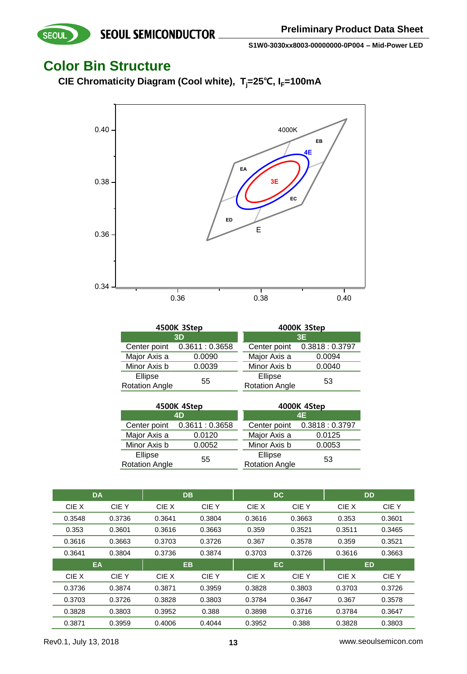### **Color Bin Structure**

SEOUL

**CIE Chromaticity Diagram (Cool white), Tj=25**℃**, IF=100mA**



|                       | 4500K 3Step   | 4000K 3Step           |               |  |  |
|-----------------------|---------------|-----------------------|---------------|--|--|
|                       | 3D            | 3E                    |               |  |  |
| Center point          | 0.3611:0.3658 | Center point          | 0.3818:0.3797 |  |  |
| Major Axis a          | 0.0090        | Major Axis a          | 0.0094        |  |  |
| Minor Axis b          | 0.0039        | Minor Axis b          | 0.0040        |  |  |
| Ellipse               | 55            | Ellipse               | 53            |  |  |
| <b>Rotation Angle</b> |               | <b>Rotation Angle</b> |               |  |  |

|                                  | 4500K 4Step                  | 4000K 4Step                      |               |  |
|----------------------------------|------------------------------|----------------------------------|---------------|--|
|                                  | 4D                           | 4E                               |               |  |
|                                  | Center point 0.3611 : 0.3658 | Center point                     | 0.3818:0.3797 |  |
| Major Axis a                     | 0.0120                       | Major Axis a                     | 0.0125        |  |
| Minor Axis b                     | 0.0052                       | Minor Axis b                     | 0.0053        |  |
| Ellipse<br><b>Rotation Angle</b> | 55                           | Ellipse<br><b>Rotation Angle</b> | 53            |  |

|        | <b>DA</b> |        | <b>DB</b> | <b>DC</b> |        | <b>DD</b> |             |
|--------|-----------|--------|-----------|-----------|--------|-----------|-------------|
| CIE X  | CIE Y     | CIE X  | CIE Y     | CIE X     | CIE Y  | CIE X     | <b>CIEY</b> |
| 0.3548 | 0.3736    | 0.3641 | 0.3804    | 0.3616    | 0.3663 | 0.353     | 0.3601      |
| 0.353  | 0.3601    | 0.3616 | 0.3663    | 0.359     | 0.3521 | 0.3511    | 0.3465      |
| 0.3616 | 0.3663    | 0.3703 | 0.3726    | 0.367     | 0.3578 | 0.359     | 0.3521      |
| 0.3641 | 0.3804    | 0.3736 | 0.3874    | 0.3703    | 0.3726 | 0.3616    | 0.3663      |
|        | EA        |        | <b>EB</b> | EC.       |        | <b>ED</b> |             |
|        |           |        |           |           |        |           |             |
| CIE X  | CIE Y     | CIE X  | CIE Y     | CIE X     | CIE Y  | CIE X     | CIE Y       |
| 0.3736 | 0.3874    | 0.3871 | 0.3959    | 0.3828    | 0.3803 | 0.3703    | 0.3726      |
| 0.3703 | 0.3726    | 0.3828 | 0.3803    | 0.3784    | 0.3647 | 0.367     | 0.3578      |
| 0.3828 | 0.3803    | 0.3952 | 0.388     | 0.3898    | 0.3716 | 0.3784    | 0.3647      |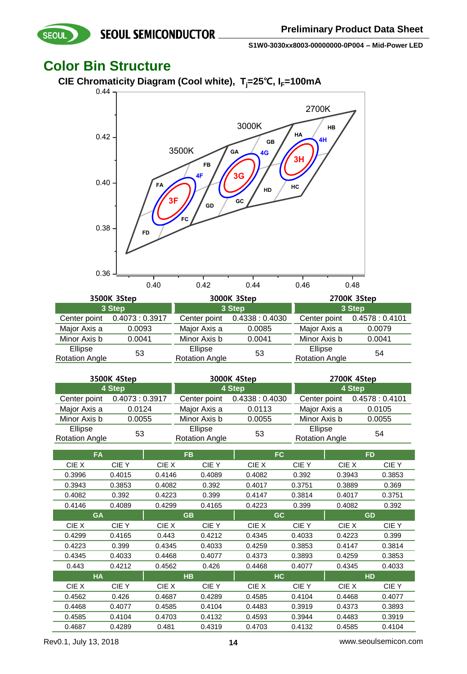### **Color Bin Structure**



| 3500K 3Step                      |               |                                  | 3000K 3Step     | 2700K 3Step                      |               |  |
|----------------------------------|---------------|----------------------------------|-----------------|----------------------------------|---------------|--|
| 3 Step                           |               | 3 Step                           |                 | 3 Step                           |               |  |
| Center point                     | 0.4073:0.3917 | Center point                     | 0.4338 : 0.4030 | Center point                     | 0.4578:0.4101 |  |
| Major Axis a                     | 0.0093        | Major Axis a                     | 0.0085          | Major Axis a                     | 0.0079        |  |
| Minor Axis b                     | 0.0041        | Minor Axis b                     | 0.0041          | Minor Axis b                     | 0.0041        |  |
| Ellipse<br><b>Rotation Angle</b> | 53            | Ellipse<br><b>Rotation Angle</b> | 53              | Ellipse<br><b>Rotation Angle</b> | 54            |  |

| 3500K 4Step           |               | 3000K 4Step           |                              | 2700K 4Step           |               |  |
|-----------------------|---------------|-----------------------|------------------------------|-----------------------|---------------|--|
| 4 Step                |               | 4 Step                |                              | 4 Step                |               |  |
| Center point          | 0.4073:0.3917 |                       | Center point 0.4338 : 0.4030 | Center point          | 0.4578:0.4101 |  |
| Major Axis a          | 0.0124        | Major Axis a          | 0.0113                       | Major Axis a          | 0.0105        |  |
| Minor Axis b          | 0.0055        | Minor Axis b          | 0.0055                       | Minor Axis b          | 0.0055        |  |
| Ellipse               | 53            | Ellipse               | 53                           | Ellipse               | 54            |  |
| <b>Rotation Angle</b> |               | <b>Rotation Angle</b> |                              | <b>Rotation Angle</b> |               |  |

|        | <b>FA</b>   | <b>FB</b> |             | FC.       |             | <b>FD</b> |             |
|--------|-------------|-----------|-------------|-----------|-------------|-----------|-------------|
| CIE X  | <b>CIEY</b> | CIE X     | <b>CIEY</b> | CIE X     | <b>CIEY</b> | CIE X     | CIE Y       |
| 0.3996 | 0.4015      | 0.4146    | 0.4089      | 0.4082    | 0.392       | 0.3943    | 0.3853      |
| 0.3943 | 0.3853      | 0.4082    | 0.392       | 0.4017    | 0.3751      | 0.3889    | 0.369       |
| 0.4082 | 0.392       | 0.4223    | 0.399       | 0.4147    | 0.3814      | 0.4017    | 0.3751      |
| 0.4146 | 0.4089      | 0.4299    | 0.4165      | 0.4223    | 0.399       | 0.4082    | 0.392       |
|        | <b>GA</b>   |           | <b>GB</b>   | <b>GC</b> |             | <b>GD</b> |             |
| CIE X  | <b>CIEY</b> | CIE X     | CIE Y       | CIE X     | CIE Y       | CIE X     | <b>CIEY</b> |
| 0.4299 | 0.4165      | 0.443     | 0.4212      | 0.4345    | 0.4033      | 0.4223    | 0.399       |
| 0.4223 | 0.399       | 0.4345    | 0.4033      | 0.4259    | 0.3853      | 0.4147    | 0.3814      |
| 0.4345 | 0.4033      | 0.4468    | 0.4077      | 0.4373    | 0.3893      | 0.4259    | 0.3853      |
| 0.443  | 0.4212      | 0.4562    | 0.426       | 0.4468    | 0.4077      | 0.4345    | 0.4033      |
|        | <b>HA</b>   |           | <b>HB</b>   | HC.       |             | <b>HD</b> |             |
| CIE X  | CIE Y       | CIE X     | CIE Y       | CIE X     | CIE Y       | CIE X     | CIE Y       |
| 0.4562 | 0.426       | 0.4687    | 0.4289      | 0.4585    | 0.4104      | 0.4468    | 0.4077      |
| 0.4468 | 0.4077      | 0.4585    | 0.4104      | 0.4483    | 0.3919      | 0.4373    | 0.3893      |
| 0.4585 | 0.4104      | 0.4703    | 0.4132      | 0.4593    | 0.3944      | 0.4483    | 0.3919      |
| 0.4687 | 0.4289      | 0.481     | 0.4319      | 0.4703    | 0.4132      | 0.4585    | 0.4104      |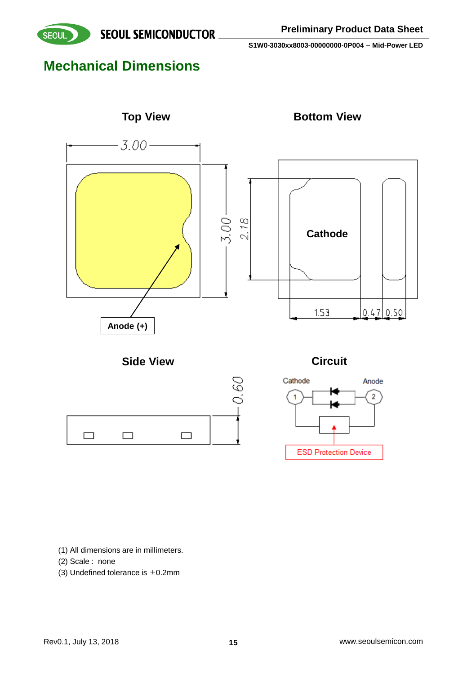

# **Mechanical Dimensions**



(1) All dimensions are in millimeters.

- (2) Scale : none
- (3) Undefined tolerance is  $\pm$ 0.2mm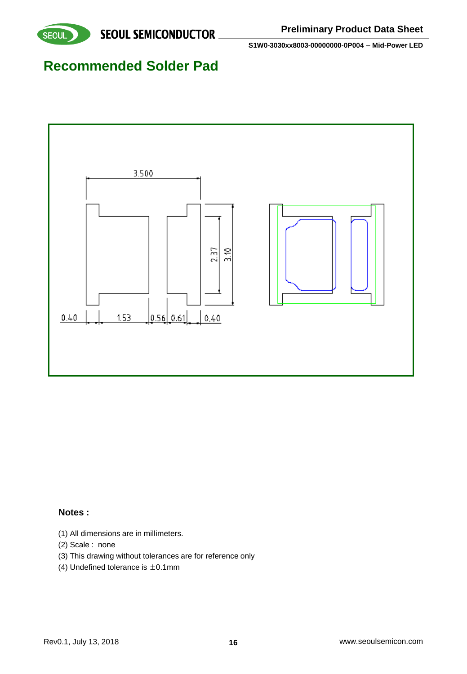

### **Recommended Solder Pad**



### **Notes :**

- (1) All dimensions are in millimeters.
- (2) Scale : none
- (3) This drawing without tolerances are for reference only
- (4) Undefined tolerance is  $\pm$ 0.1mm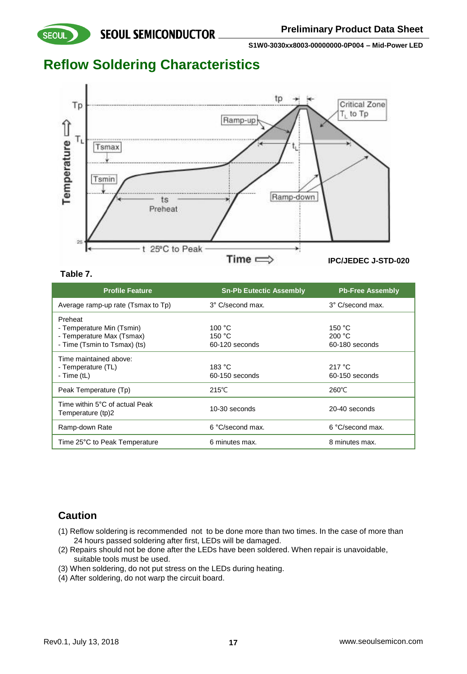### **Reflow Soldering Characteristics**



#### **Table 7.**

**SEOUL** 

| <b>Profile Feature</b>                                                                            | <b>Sn-Pb Eutectic Assembly</b>                | <b>Pb-Free Assembly</b>            |
|---------------------------------------------------------------------------------------------------|-----------------------------------------------|------------------------------------|
| Average ramp-up rate (Tsmax to Tp)                                                                | 3° C/second max.                              | 3° C/second max.                   |
| Preheat<br>- Temperature Min (Tsmin)<br>- Temperature Max (Tsmax)<br>- Time (Tsmin to Tsmax) (ts) | 100 $\degree$ C<br>150 $°C$<br>60-120 seconds | 150 °C<br>200 °C<br>60-180 seconds |
| Time maintained above:<br>- Temperature (TL)<br>- Time (tL)                                       | 183 °C<br>60-150 seconds                      | 217 $\degree$ C<br>60-150 seconds  |
| Peak Temperature (Tp)                                                                             | $215^{\circ}$ C                               | $260^{\circ}$ C                    |
| Time within 5°C of actual Peak<br>Temperature (tp)2                                               | 10-30 seconds                                 | 20-40 seconds                      |
| Ramp-down Rate                                                                                    | 6 °C/second max.                              | 6 °C/second max.                   |
| Time 25°C to Peak Temperature                                                                     | 6 minutes max.                                | 8 minutes max.                     |

### **Caution**

- (1) Reflow soldering is recommended not to be done more than two times. In the case of more than 24 hours passed soldering after first, LEDs will be damaged.
- (2) Repairs should not be done after the LEDs have been soldered. When repair is unavoidable, suitable tools must be used.
- (3) When soldering, do not put stress on the LEDs during heating.
- (4) After soldering, do not warp the circuit board.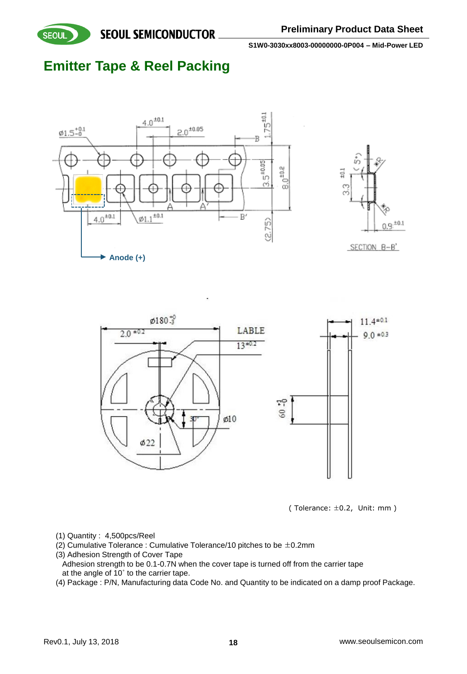

**SEQUL SEMICONDUCTOR** 

**S1W0-3030xx8003-00000000-0P004 – Mid-Power LED**

# **Emitter Tape & Reel Packing**









- (1) Quantity : 4,500pcs/Reel
- (2) Cumulative Tolerance : Cumulative Tolerance/10 pitches to be  $\pm$ 0.2mm
- (3) Adhesion Strength of Cover Tape
- Adhesion strength to be 0.1-0.7N when the cover tape is turned off from the carrier tape at the angle of 10˚ to the carrier tape.
- (4) Package : P/N, Manufacturing data Code No. and Quantity to be indicated on a damp proof Package.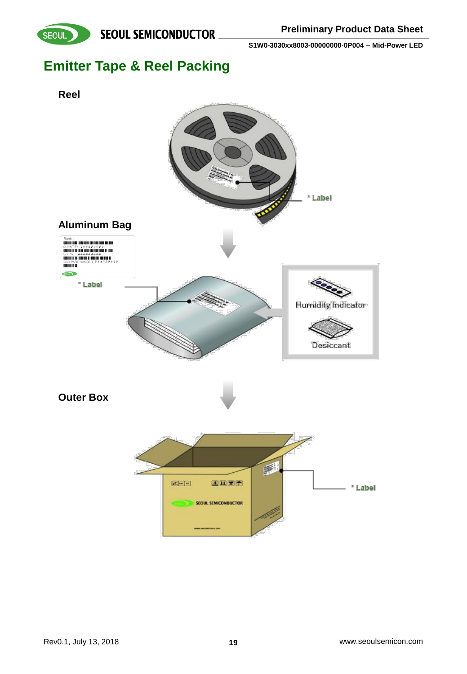



# **Emitter Tape & Reel Packing**

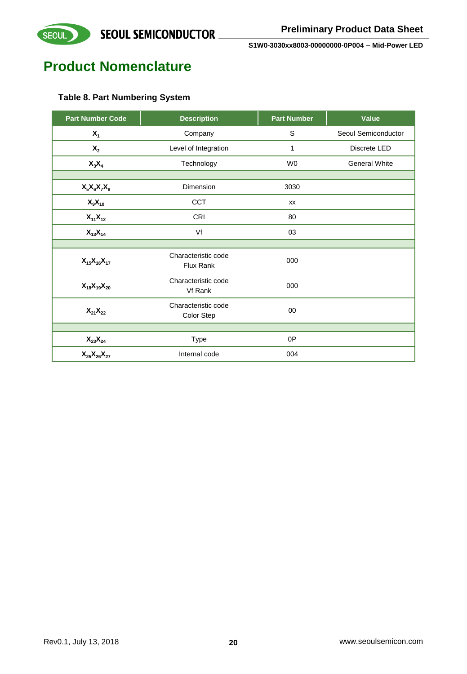

### **Product Nomenclature**

### **Table 8. Part Numbering System**

| <b>Part Number Code</b>          | <b>Description</b>                      | <b>Part Number</b> | Value                |
|----------------------------------|-----------------------------------------|--------------------|----------------------|
| $X_1$                            | Company                                 | S                  | Seoul Semiconductor  |
| $\mathsf{X}_2$                   | Level of Integration                    | 1                  | Discrete LED         |
| $X_3X_4$                         | Technology                              | W <sub>0</sub>     | <b>General White</b> |
|                                  |                                         |                    |                      |
| $X_5X_6X_7X_8$                   | Dimension                               | 3030               |                      |
| $X_9X_{10}$                      | <b>CCT</b>                              | <b>XX</b>          |                      |
| $X_{11}X_{12}$                   | CRI                                     | 80                 |                      |
| $X_{13}X_{14}$                   | Vf                                      | 03                 |                      |
|                                  |                                         |                    |                      |
| $X_{15}X_{16}X_{17}$             | Characteristic code<br><b>Flux Rank</b> | 000                |                      |
| $X_{18}X_{19}X_{20}$             | Characteristic code<br>Vf Rank          | 000                |                      |
| $\mathsf{X}_{21}\mathsf{X}_{22}$ | Characteristic code<br>Color Step       | 00                 |                      |
|                                  |                                         |                    |                      |
| $\mathsf{X}_{23}\mathsf{X}_{24}$ | Type                                    | 0P                 |                      |
| $X_{25}X_{26}X_{27}$             | Internal code                           | 004                |                      |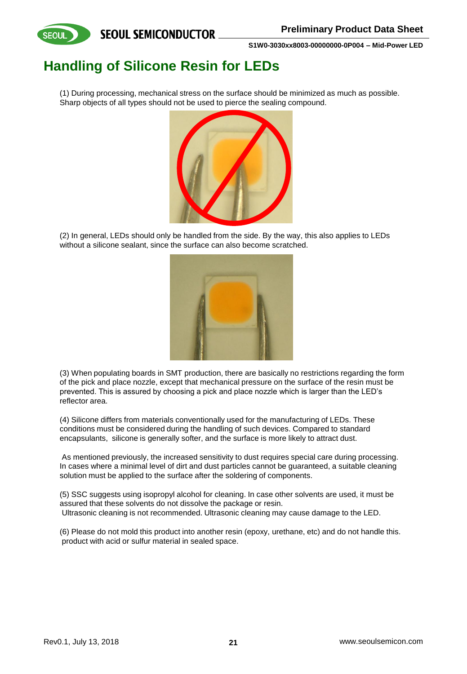

# **Handling of Silicone Resin for LEDs**

(1) During processing, mechanical stress on the surface should be minimized as much as possible. Sharp objects of all types should not be used to pierce the sealing compound.



(2) In general, LEDs should only be handled from the side. By the way, this also applies to LEDs without a silicone sealant, since the surface can also become scratched.



(3) When populating boards in SMT production, there are basically no restrictions regarding the form of the pick and place nozzle, except that mechanical pressure on the surface of the resin must be prevented. This is assured by choosing a pick and place nozzle which is larger than the LED's reflector area.

(4) Silicone differs from materials conventionally used for the manufacturing of LEDs. These conditions must be considered during the handling of such devices. Compared to standard encapsulants, silicone is generally softer, and the surface is more likely to attract dust.

As mentioned previously, the increased sensitivity to dust requires special care during processing. In cases where a minimal level of dirt and dust particles cannot be guaranteed, a suitable cleaning solution must be applied to the surface after the soldering of components.

(5) SSC suggests using isopropyl alcohol for cleaning. In case other solvents are used, it must be assured that these solvents do not dissolve the package or resin. Ultrasonic cleaning is not recommended. Ultrasonic cleaning may cause damage to the LED.

(6) Please do not mold this product into another resin (epoxy, urethane, etc) and do not handle this. product with acid or sulfur material in sealed space.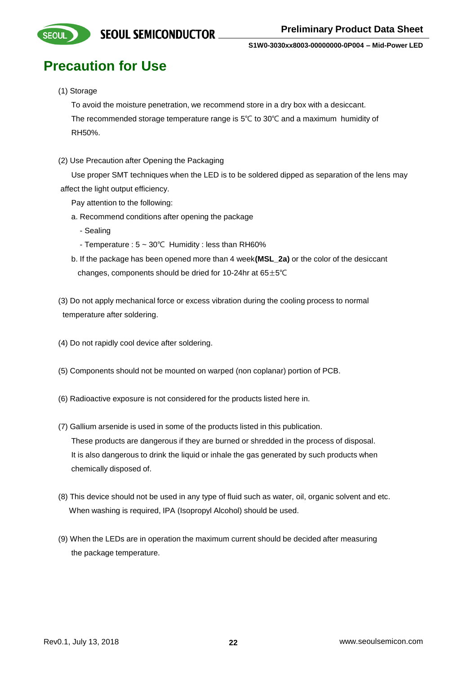

# **Precaution for Use**

#### (1) Storage

To avoid the moisture penetration, we recommend store in a dry box with a desiccant. The recommended storage temperature range is 5℃ to 30℃ and a maximum humidity of RH50%.

(2) Use Precaution after Opening the Packaging

Use proper SMT techniques when the LED is to be soldered dipped as separation of the lens may affect the light output efficiency.

- Pay attention to the following:
- a. Recommend conditions after opening the package
	- Sealing
	- Temperature : 5 ~ 30℃ Humidity : less than RH60%
- b. If the package has been opened more than 4 week**(MSL\_2a)** or the color of the desiccant changes, components should be dried for 10-24hr at 65±5℃
- (3) Do not apply mechanical force or excess vibration during the cooling process to normal temperature after soldering.
- (4) Do not rapidly cool device after soldering.
- (5) Components should not be mounted on warped (non coplanar) portion of PCB.
- (6) Radioactive exposure is not considered for the products listed here in.
- (7) Gallium arsenide is used in some of the products listed in this publication. These products are dangerous if they are burned or shredded in the process of disposal. It is also dangerous to drink the liquid or inhale the gas generated by such products when chemically disposed of.
- (8) This device should not be used in any type of fluid such as water, oil, organic solvent and etc. When washing is required, IPA (Isopropyl Alcohol) should be used.
- (9) When the LEDs are in operation the maximum current should be decided after measuring the package temperature.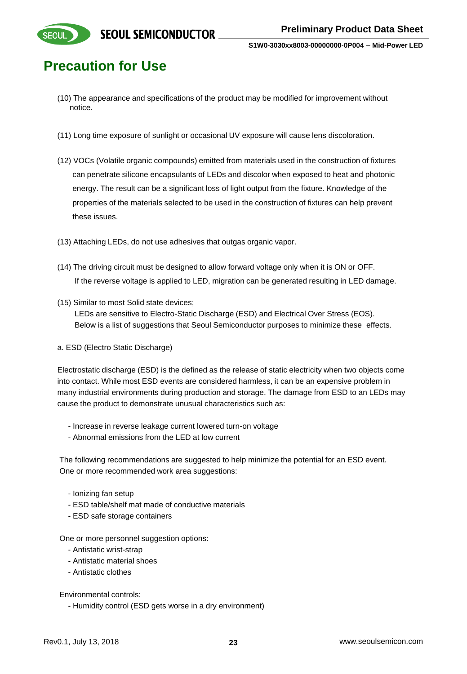

# **Precaution for Use**

- (10) The appearance and specifications of the product may be modified for improvement without notice.
- (11) Long time exposure of sunlight or occasional UV exposure will cause lens discoloration.
- (12) VOCs (Volatile organic compounds) emitted from materials used in the construction of fixtures can penetrate silicone encapsulants of LEDs and discolor when exposed to heat and photonic energy. The result can be a significant loss of light output from the fixture. Knowledge of the properties of the materials selected to be used in the construction of fixtures can help prevent these issues.
- (13) Attaching LEDs, do not use adhesives that outgas organic vapor.
- (14) The driving circuit must be designed to allow forward voltage only when it is ON or OFF. If the reverse voltage is applied to LED, migration can be generated resulting in LED damage.
- (15) Similar to most Solid state devices;

LEDs are sensitive to Electro-Static Discharge (ESD) and Electrical Over Stress (EOS). Below is a list of suggestions that Seoul Semiconductor purposes to minimize these effects.

a. ESD (Electro Static Discharge)

Electrostatic discharge (ESD) is the defined as the release of static electricity when two objects come into contact. While most ESD events are considered harmless, it can be an expensive problem in many industrial environments during production and storage. The damage from ESD to an LEDs may cause the product to demonstrate unusual characteristics such as:

- Increase in reverse leakage current lowered turn-on voltage
- Abnormal emissions from the LED at low current

The following recommendations are suggested to help minimize the potential for an ESD event. One or more recommended work area suggestions:

- Ionizing fan setup
- ESD table/shelf mat made of conductive materials
- ESD safe storage containers

One or more personnel suggestion options:

- Antistatic wrist-strap
- Antistatic material shoes
- Antistatic clothes

Environmental controls:

- Humidity control (ESD gets worse in a dry environment)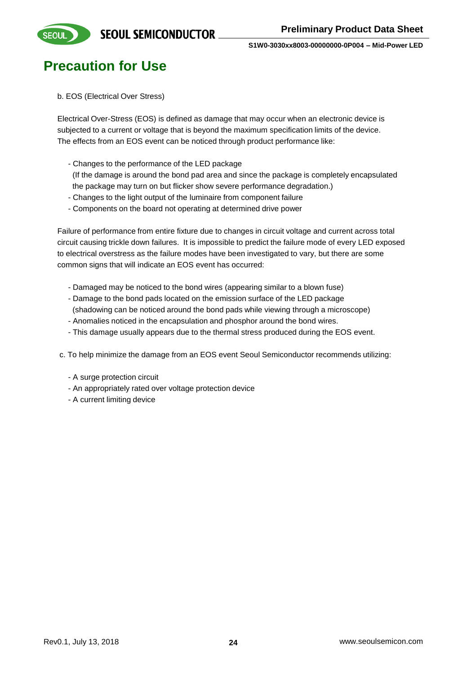

### **Precaution for Use**

b. EOS (Electrical Over Stress)

Electrical Over-Stress (EOS) is defined as damage that may occur when an electronic device is subjected to a current or voltage that is beyond the maximum specification limits of the device. The effects from an EOS event can be noticed through product performance like:

- Changes to the performance of the LED package

(If the damage is around the bond pad area and since the package is completely encapsulated the package may turn on but flicker show severe performance degradation.)

- Changes to the light output of the luminaire from component failure
- Components on the board not operating at determined drive power

Failure of performance from entire fixture due to changes in circuit voltage and current across total circuit causing trickle down failures. It is impossible to predict the failure mode of every LED exposed to electrical overstress as the failure modes have been investigated to vary, but there are some common signs that will indicate an EOS event has occurred:

- Damaged may be noticed to the bond wires (appearing similar to a blown fuse)
- Damage to the bond pads located on the emission surface of the LED package
- (shadowing can be noticed around the bond pads while viewing through a microscope)
- Anomalies noticed in the encapsulation and phosphor around the bond wires.
- This damage usually appears due to the thermal stress produced during the EOS event.
- c. To help minimize the damage from an EOS event Seoul Semiconductor recommends utilizing:
	- A surge protection circuit
	- An appropriately rated over voltage protection device
	- A current limiting device